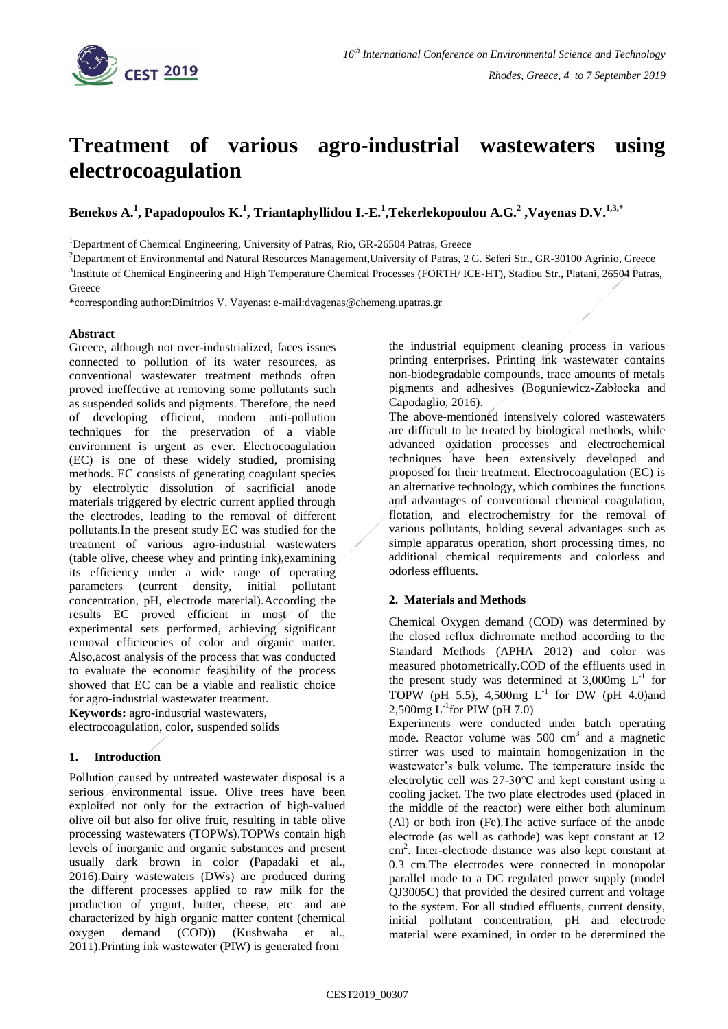

# **Treatment of various agro-industrial wastewaters using electrocoagulation**

**Benekos A.<sup>1</sup> , Papadopoulos K. 1 , Triantaphyllidou I.-E. 1 ,Tekerlekopoulou A.G.<sup>2</sup> ,Vayenas D.V.1,3,\***

<sup>1</sup>Department of Chemical Engineering, University of Patras, Rio, GR-26504 Patras, Greece

<sup>2</sup>Department of Environmental and Natural Resources Management,University of Patras, 2 G. Seferi Str., GR-30100 Agrinio, Greece

<sup>3</sup>Institute of Chemical Engineering and High Temperature Chemical Processes (FORTH/ ICE-HT), Stadiou Str., Platani, 26504 Patras, **Greece** 

\*corresponding author:Dimitrios V. Vayenas: e-mail:dvagenas@chemeng.upatras.gr

## **Abstract**

Greece, although not over-industrialized, faces issues connected to pollution of its water resources, as conventional wastewater treatment methods often proved ineffective at removing some pollutants such as suspended solids and pigments. Therefore, the need of developing efficient, modern anti-pollution techniques for the preservation of a viable environment is urgent as ever. Electrocoagulation (EC) is one of these widely studied, promising methods. EC consists of generating coagulant species by electrolytic dissolution of sacrificial anode materials triggered by electric current applied through the electrodes, leading to the removal of different pollutants.In the present study EC was studied for the treatment of various agro-industrial wastewaters (table olive, cheese whey and printing ink),examining its efficiency under a wide range of operating parameters (current density, initial pollutant concentration, pH, electrode material).According the results EC proved efficient in most of the experimental sets performed, achieving significant removal efficiencies of color and organic matter. Also,acost analysis of the process that was conducted to evaluate the economic feasibility of the process showed that EC can be a viable and realistic choice for agro-industrial wastewater treatment.

**Keywords:** agro-industrial wastewaters, electrocoagulation, color, suspended solids

# **1. Introduction**

Pollution caused by untreated wastewater disposal is a serious environmental issue. Olive trees have been exploited not only for the extraction of high-valued olive oil but also for olive fruit, resulting in table olive processing wastewaters (TOPWs).TOPWs contain high levels of inorganic and organic substances and present usually dark brown in color (Papadaki et al., 2016).Dairy wastewaters (DWs) are produced during the different processes applied to raw milk for the production of yogurt, butter, cheese, etc. and are characterized by high organic matter content (chemical oxygen demand (COD)) (Kushwaha et al., 2011).Printing ink wastewater (PIW) is generated from

the industrial equipment cleaning process in various printing enterprises. Printing ink wastewater contains non-biodegradable compounds, trace amounts of metals pigments and adhesives (Boguniewicz-Zabłocka and Capodaglio, 2016).

The above-mentioned intensively colored wastewaters are difficult to be treated by biological methods, while advanced oxidation processes and electrochemical techniques have been extensively developed and proposed for their treatment. Electrocoagulation (EC) is an alternative technology, which combines the functions and advantages of conventional chemical coagulation, flotation, and electrochemistry for the removal of various pollutants, holding several advantages such as simple apparatus operation, short processing times, no additional chemical requirements and colorless and odorless effluents.

## **2. Materials and Methods**

Chemical Oxygen demand (COD) was determined by the closed reflux dichromate method according to the Standard Methods (APHA 2012) and color was measured photometrically.COD of the effluents used in the present study was determined at  $3,000$ mg  $L^{-1}$  for TOPW (pH 5.5), 4,500mg  $L^{-1}$  for DW (pH 4.0)and 2,500mg  $L^{-1}$ for PIW (pH 7.0)

Experiments were conducted under batch operating mode. Reactor volume was 500 cm<sup>3</sup> and a magnetic stirrer was used to maintain homogenization in the wastewater's bulk volume. The temperature inside the electrolytic cell was 27-30℃ and kept constant using a cooling jacket. The two plate electrodes used (placed in the middle of the reactor) were either both aluminum (Al) or both iron (Fe).The active surface of the anode electrode (as well as cathode) was kept constant at 12 cm<sup>2</sup> . Inter-electrode distance was also kept constant at 0.3 cm.The electrodes were connected in monopolar parallel mode to a DC regulated power supply (model QJ3005C) that provided the desired current and voltage to the system. For all studied effluents, current density, initial pollutant concentration, pH and electrode material were examined, in order to be determined the